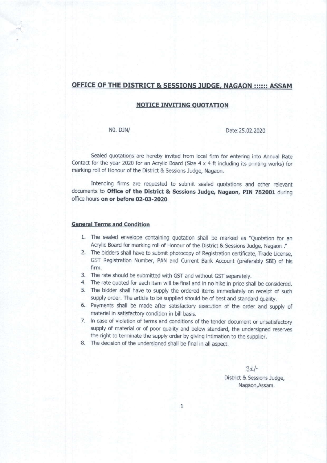## OFFICE OF THE DISTRICT & SESSIONS JUDGE, NAGAON :::::: ASSAM

### NOTICE INVITING OUOTATION

N0. DJN/ Date:25,02.2020

Sealed quotations are hereby invited from local firm for entering into Annual Rate Contact for the year 2020 for an Acrylic Board (Size  $4 \times 4$  ft including its printing works) for marking roll of Honour of the District & Sessions Judge, Nagaon.

lntending firms are requested to submit sealed quotations and other relevant documents to Office of the District & Sessions Judge, Nagaon, PIN 782001 during office hours on or before 02-03-2020.

#### General Terms and Condition

- 1. The sealed envelope containing quotation shall be marked as "Quotation for an Acrylic Board for marking roll of Honour of the District & Sessions Judge, Nagaon ."
- 2. The bidders shall have to submit photocopy of Registration certificate, Trade License. GST Registration Number, PAN and Current Bank Account (preferably SBI) of his firm.
- 3. The rate should be submitted with GST and without GST separately.
- 4. The rate quoted for each item will be final and in no hike in price shall be considered.
- 5. The bidder shall have to supply the ordered items immediately on receipt of such supply order. The article to be supplied should be of best and standard quality.
- 6, Payments shall be made after satisfadory execution of the order and supply of material in satisfadory condition in bill basis.
- 7. In case of violation of terms and conditions of the tender document or unsatisfactory supply of material or of poor quality and below standard, the undersigned reserves the right to terminate the supply order by giving intimation to the supplier.
- 8. The decision of the undersigned shall be final in all aspect.

3d/- District & Sessions Judge, Nagaon,Assam.